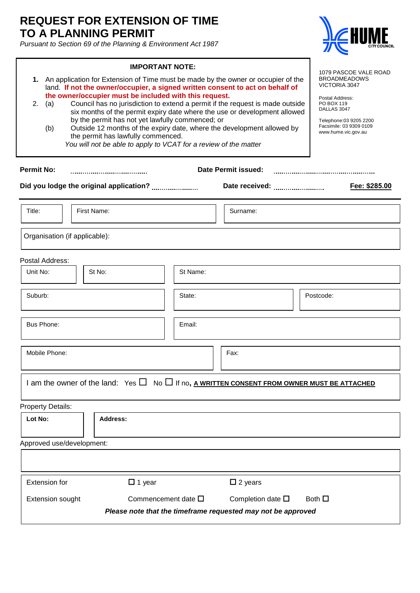## **REQUEST FOR EXTENSION OF TIME TO A PLANNING PERMIT**

*Pursuant to Section 69 of the Planning & Environment Act 1987*



٦

|                                                                                                                                                                                                                                                                                                                                                                                                                                                                                                                                                                                                                                                                                                                                                                                                                                      | <b>IMPORTANT NOTE:</b>                                                                                |          |                           | 1079 PASCOE VALE ROAD |
|--------------------------------------------------------------------------------------------------------------------------------------------------------------------------------------------------------------------------------------------------------------------------------------------------------------------------------------------------------------------------------------------------------------------------------------------------------------------------------------------------------------------------------------------------------------------------------------------------------------------------------------------------------------------------------------------------------------------------------------------------------------------------------------------------------------------------------------|-------------------------------------------------------------------------------------------------------|----------|---------------------------|-----------------------|
| 1. An application for Extension of Time must be made by the owner or occupier of the<br><b>BROADMEADOWS</b><br><b>VICTORIA 3047</b><br>land. If not the owner/occupier, a signed written consent to act on behalf of<br>the owner/occupier must be included with this request.<br>Postal Address:<br>Council has no jurisdiction to extend a permit if the request is made outside<br>2.<br>(a)<br>PO BOX 119<br>DALLAS 3047<br>six months of the permit expiry date where the use or development allowed<br>by the permit has not yet lawfully commenced; or<br>Telephone:03 9205 2200<br>Facsimile: 03 9309 0109<br>Outside 12 months of the expiry date, where the development allowed by<br>(b)<br>www.hume.vic.gov.au<br>the permit has lawfully commenced.<br>You will not be able to apply to VCAT for a review of the matter |                                                                                                       |          |                           |                       |
| <b>Permit No:</b><br><b>Date Permit issued:</b>                                                                                                                                                                                                                                                                                                                                                                                                                                                                                                                                                                                                                                                                                                                                                                                      |                                                                                                       |          |                           |                       |
|                                                                                                                                                                                                                                                                                                                                                                                                                                                                                                                                                                                                                                                                                                                                                                                                                                      |                                                                                                       |          | Date received:            | Fee: \$285.00         |
| Title:                                                                                                                                                                                                                                                                                                                                                                                                                                                                                                                                                                                                                                                                                                                                                                                                                               | First Name:                                                                                           |          | Surname:                  |                       |
| Organisation (if applicable):                                                                                                                                                                                                                                                                                                                                                                                                                                                                                                                                                                                                                                                                                                                                                                                                        |                                                                                                       |          |                           |                       |
| Postal Address:                                                                                                                                                                                                                                                                                                                                                                                                                                                                                                                                                                                                                                                                                                                                                                                                                      |                                                                                                       |          |                           |                       |
| Unit No:                                                                                                                                                                                                                                                                                                                                                                                                                                                                                                                                                                                                                                                                                                                                                                                                                             | St No:                                                                                                | St Name: |                           |                       |
| Suburb:                                                                                                                                                                                                                                                                                                                                                                                                                                                                                                                                                                                                                                                                                                                                                                                                                              |                                                                                                       | State:   |                           | Postcode:             |
| Bus Phone:                                                                                                                                                                                                                                                                                                                                                                                                                                                                                                                                                                                                                                                                                                                                                                                                                           |                                                                                                       | Email:   |                           |                       |
| Mobile Phone:                                                                                                                                                                                                                                                                                                                                                                                                                                                                                                                                                                                                                                                                                                                                                                                                                        |                                                                                                       |          | Fax:                      |                       |
|                                                                                                                                                                                                                                                                                                                                                                                                                                                                                                                                                                                                                                                                                                                                                                                                                                      | I am the owner of the land: Yes $\Box$ No $\Box$ If no, A WRITTEN CONSENT FROM OWNER MUST BE ATTACHED |          |                           |                       |
| <b>Property Details:</b>                                                                                                                                                                                                                                                                                                                                                                                                                                                                                                                                                                                                                                                                                                                                                                                                             |                                                                                                       |          |                           |                       |
| Lot No:                                                                                                                                                                                                                                                                                                                                                                                                                                                                                                                                                                                                                                                                                                                                                                                                                              | <b>Address:</b>                                                                                       |          |                           |                       |
| Approved use/development:                                                                                                                                                                                                                                                                                                                                                                                                                                                                                                                                                                                                                                                                                                                                                                                                            |                                                                                                       |          |                           |                       |
|                                                                                                                                                                                                                                                                                                                                                                                                                                                                                                                                                                                                                                                                                                                                                                                                                                      |                                                                                                       |          |                           |                       |
| <b>Extension for</b>                                                                                                                                                                                                                                                                                                                                                                                                                                                                                                                                                                                                                                                                                                                                                                                                                 | $\Box$ 1 year                                                                                         |          | $\square$ 2 years         |                       |
| <b>Extension sought</b>                                                                                                                                                                                                                                                                                                                                                                                                                                                                                                                                                                                                                                                                                                                                                                                                              | Commencement date $\square$                                                                           |          | Completion date $\square$ | Both $\square$        |
| Please note that the timeframe requested may not be approved                                                                                                                                                                                                                                                                                                                                                                                                                                                                                                                                                                                                                                                                                                                                                                         |                                                                                                       |          |                           |                       |